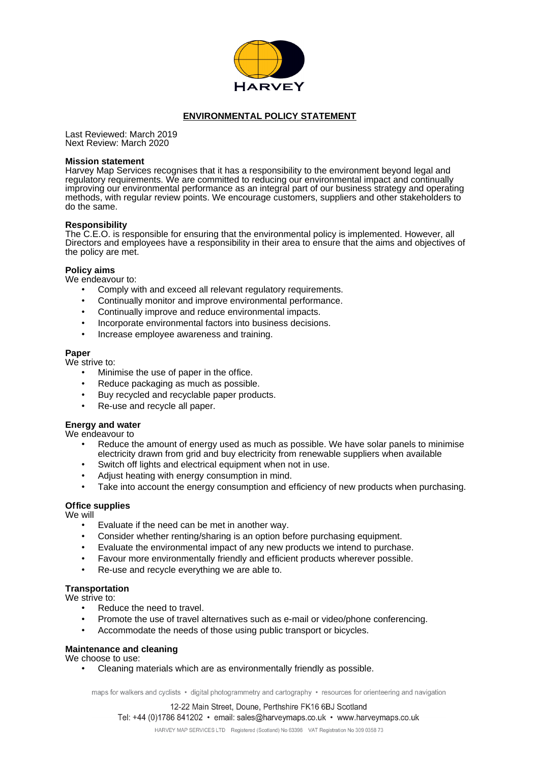

# **ENVIRONMENTAL POLICY STATEMENT**

Last Reviewed: March 2019 Next Review: March 2020

#### **Mission statement**

Harvey Map Services recognises that it has a responsibility to the environment beyond legal and regulatory requirements. We are committed to reducing our environmental impact and continually improving our environmental performance as an integral part of our business strategy and operating methods, with regular review points. We encourage customers, suppliers and other stakeholders to do the same.

#### **Responsibility**

The C.E.O. is responsible for ensuring that the environmental policy is implemented. However, all Directors and employees have a responsibility in their area to ensure that the aims and objectives of the policy are met.

#### **Policy aims**

We endeavour to:

- Comply with and exceed all relevant regulatory requirements.
- Continually monitor and improve environmental performance.
- Continually improve and reduce environmental impacts.
- Incorporate environmental factors into business decisions.
- Increase employee awareness and training.

### **Paper**

We strive to:

- Minimise the use of paper in the office.
- Reduce packaging as much as possible.
- Buy recycled and recyclable paper products.
- Re-use and recycle all paper.

# **Energy and water**

We endeavour to

- Reduce the amount of energy used as much as possible. We have solar panels to minimise electricity drawn from grid and buy electricity from renewable suppliers when available
- Switch off lights and electrical equipment when not in use.
- Adjust heating with energy consumption in mind.
- Take into account the energy consumption and efficiency of new products when purchasing.

### **Office supplies**

We will

- Evaluate if the need can be met in another way.
- Consider whether renting/sharing is an option before purchasing equipment.
- Evaluate the environmental impact of any new products we intend to purchase.
- Favour more environmentally friendly and efficient products wherever possible.
- Re-use and recycle everything we are able to.

### **Transportation**

- We strive to:
	- Reduce the need to travel.
	- Promote the use of travel alternatives such as e-mail or video/phone conferencing.
	- Accommodate the needs of those using public transport or bicycles.

### **Maintenance and cleaning**

We choose to use:

• Cleaning materials which are as environmentally friendly as possible.

maps for walkers and cyclists • digital photogrammetry and cartography • resources for orienteering and navigation

12-22 Main Street, Doune, Perthshire FK16 6BJ Scotland Tel: +44 (0)1786 841202 · email: sales@harveymaps.co.uk · www.harveymaps.co.uk